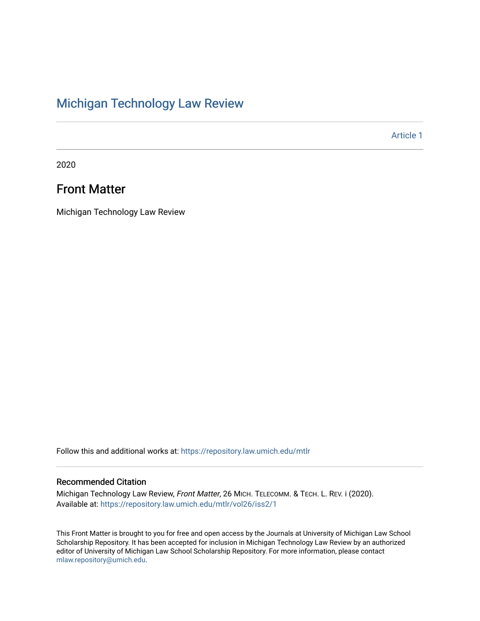### [Michigan Technology Law Review](https://repository.law.umich.edu/mtlr)

[Article 1](https://repository.law.umich.edu/mtlr/vol26/iss2/1) 

2020

#### Front Matter

Michigan Technology Law Review

Follow this and additional works at: [https://repository.law.umich.edu/mtlr](https://repository.law.umich.edu/mtlr?utm_source=repository.law.umich.edu%2Fmtlr%2Fvol26%2Fiss2%2F1&utm_medium=PDF&utm_campaign=PDFCoverPages) 

#### Recommended Citation

Michigan Technology Law Review, Front Matter, 26 MICH. TELECOMM. & TECH. L. REV. i (2020). Available at: [https://repository.law.umich.edu/mtlr/vol26/iss2/1](https://repository.law.umich.edu/mtlr/vol26/iss2/1?utm_source=repository.law.umich.edu%2Fmtlr%2Fvol26%2Fiss2%2F1&utm_medium=PDF&utm_campaign=PDFCoverPages) 

This Front Matter is brought to you for free and open access by the Journals at University of Michigan Law School Scholarship Repository. It has been accepted for inclusion in Michigan Technology Law Review by an authorized editor of University of Michigan Law School Scholarship Repository. For more information, please contact [mlaw.repository@umich.edu.](mailto:mlaw.repository@umich.edu)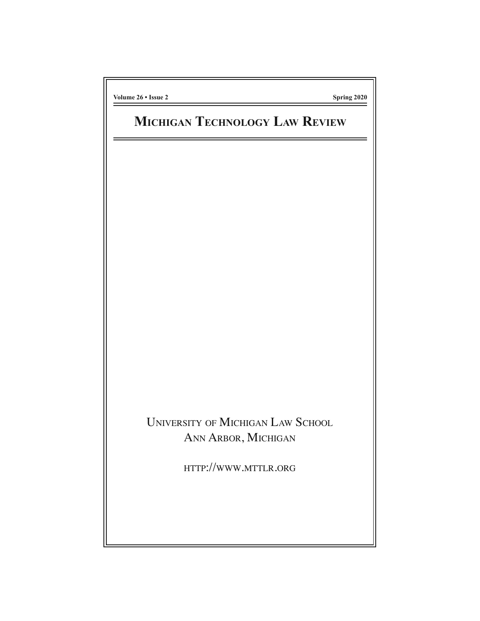**Volume 26 • Issue 2 Spring 2020**

# **MICHIGAN TECHNOLOGY LAW REVIEW**

UNIVERSITY OF MICHIGAN LAW SCHOOL ANN ARBOR, MICHIGAN

HTTP://WWW.MTTLR.ORG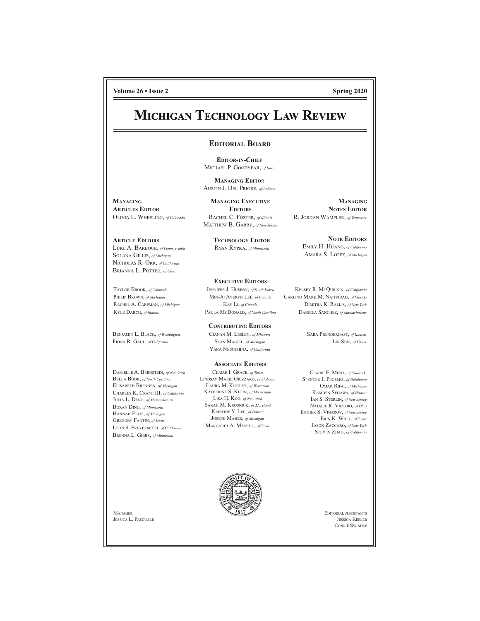**Volume 26 • Issue 26 • Issue 26 • Issue 2 Spring 2020** 

**MANAGING NOTES EDITOR**

### **MICHIGAN TECHNOLOGY LAW REVIEW**

#### **EDITORIAL BOARD**

**EDITOR-IN-CHIEF** MICHAEL P. GOODYEAR, *of Iowa*

**MANAGING EDITO**R AUSTIN J. DEL PRIORE, *of Indiana*

**MANAGING ARTICLES EDITOR** OLIVIA L. WHEELING, *of Colorado*

**ARTICLE EDITORS** LUKE A. BARBOUR, *of Pennsylvania* SOLANA GILLIS, *of Michigan* NICHOLAS R. ORR, *of California* BRIANNA L. POTTER, *of Utah*

TAYLOR BROOK, *of Colorado* PHILIP BROWN, *of Michigan* RACHEL A. CARPMAN, *of Michigan* KYLE DARCH, *of Illinois*

BENJAMIN L. BLACK, *of Washington* FIONA R. GAUL, *of California*

DANIELLE A. BERNSTEIN, *of New York* BELLA BOOK, *of North Carolina* ELISABETH BRENNEN, *of Michigan* CHARLES K. CRANE III, *of California* JULIA L. DENG, *of Massachusetts* BORAN DING, *of Minnesota* HANNAH ELLIS, *of Michigan* GREGORY FANTIN, *of Texas* LEON S. FREYERMUTH, *of California* BRENNA L. GIBBS, *of Minnesota*

**MANAGING EXECUTIVE EDITORS** RACHEL C. FOSTER, *of Illinois* MATTHEW B. GARRY, *of New Jersey*

> **TECHNOLOGY EDITOR** RYAN RYPKA, *of Minnesota*

**EXECUTIVE EDITORS**

JENNIFER J. HUSEBY, *of South Korea* MIN-JU AVERYN LEE, *of Canada* KAY LI, *of Canada* PAULA MCDONALD, *of North Carolina*

**CONTRIBUTING EDITORS** CIANAN M. LESLEY, *of Missouri* SEAN MAGILL, *of Michigan* YANA NEBUCHINA, *of California*

#### **ASSOCIATE EDITORS**

CLAIRE I. GRACE, *of Texas* LINDSAY MARIE GRIZZARD, *of Alabama* LAURA M. KIRTLEY, *of Wisconsin* KATHERINE S. KLEIN, *of Mississippi* LISA H. KOO, *of New York* SARAH M. KROSNICK, *of Maryland* KRISTINE Y. LEE, *of Hawaii* JOSEPH MAHER, *of Michigan* MARGARET A. MANTEL, *of Texas*

**NOTE EDITORS** EMILY H. HUANG, *of California* AMARA S. LOPEZ, *of Michigan*

R. JORDAN WAMPLER, *of Tennessee*

KELSEY R. MCQUILKIN, *of California* CARLINO MARK M. NATIVIDAD, *of Florida* DIMITRA K. RALLIS, *of New York* DANIELA SANCHEZ, *of Massachusetts*

> SARA PRENDERGAST, *of Kansas* LIN SUN, *of China*

CLAIRE E. MENA, *of Colorado* SPENCER J. PEOPLES, *of Oklahoma* OMAR RIFAI, *of Michigan* KAMDEN SEGAWA, *of Hawaii* IAN S. STERLIN, *of New Jersey* NATALIE R. VICCHIO, *of Ohio* ESTHER S. VINAROV, *of New Jersey* ERIN K. WALL, *of Texas* JASON ZACCARO, *of New York* STEVEN ZHAO, *of California*



EDITORIAL ASSISTANTS JESSICA KEELER CONNIE SWINDLE

MANAGER JESSICA L. PASQUALE